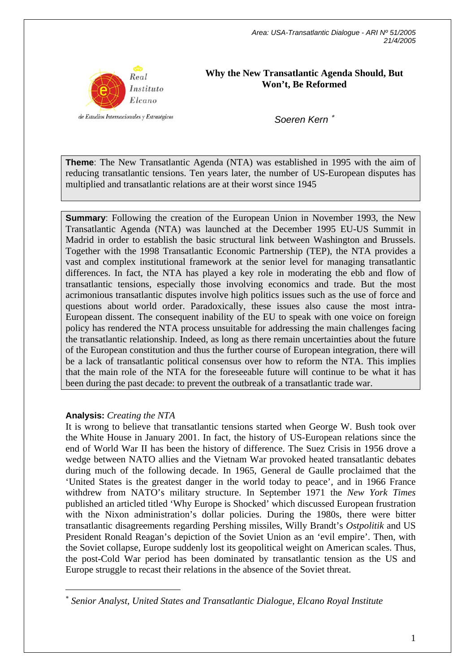

**Why the New Transatlantic Agenda Should, But Won't, Be Reformed** 

*Soeren Kern* <sup>∗</sup>

**Theme**: The New Transatlantic Agenda (NTA) was established in 1995 with the aim of reducing transatlantic tensions. Ten years later, the number of US-European disputes has multiplied and transatlantic relations are at their worst since 1945

**Summary**: Following the creation of the European Union in November 1993, the New Transatlantic Agenda (NTA) was launched at the December 1995 EU-US Summit in Madrid in order to establish the basic structural link between Washington and Brussels. Together with the 1998 Transatlantic Economic Partnership (TEP), the NTA provides a vast and complex institutional framework at the senior level for managing transatlantic differences. In fact, the NTA has played a key role in moderating the ebb and flow of transatlantic tensions, especially those involving economics and trade. But the most acrimonious transatlantic disputes involve high politics issues such as the use of force and questions about world order. Paradoxically, these issues also cause the most intra-European dissent. The consequent inability of the EU to speak with one voice on foreign policy has rendered the NTA process unsuitable for addressing the main challenges facing the transatlantic relationship. Indeed, as long as there remain uncertainties about the future of the European constitution and thus the further course of European integration, there will be a lack of transatlantic political consensus over how to reform the NTA. This implies that the main role of the NTA for the foreseeable future will continue to be what it has been during the past decade: to prevent the outbreak of a transatlantic trade war.

## **Analysis:** *Creating the NTA*

 $\overline{a}$ 

It is wrong to believe that transatlantic tensions started when George W. Bush took over the White House in January 2001. In fact, the history of US-European relations since the end of World War II has been the history of difference. The Suez Crisis in 1956 drove a wedge between NATO allies and the Vietnam War provoked heated transatlantic debates during much of the following decade. In 1965, General de Gaulle proclaimed that the 'United States is the greatest danger in the world today to peace', and in 1966 France withdrew from NATO's military structure. In September 1971 the *New York Times* published an articled titled 'Why Europe is Shocked' which discussed European frustration with the Nixon administration's dollar policies. During the 1980s, there were bitter transatlantic disagreements regarding Pershing missiles, Willy Brandt's *Ostpolitik* and US President Ronald Reagan's depiction of the Soviet Union as an 'evil empire'. Then, with the Soviet collapse, Europe suddenly lost its geopolitical weight on American scales. Thus, the post-Cold War period has been dominated by transatlantic tension as the US and Europe struggle to recast their relations in the absence of the Soviet threat.

<sup>∗</sup> *Senior Analyst, United States and Transatlantic Dialogue, Elcano Royal Institute*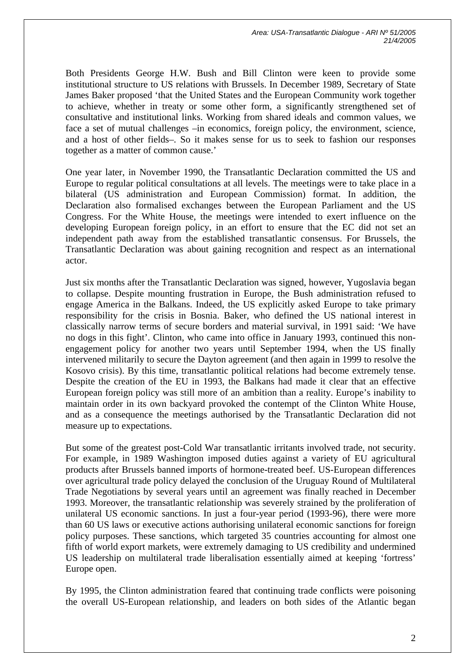Both Presidents George H.W. Bush and Bill Clinton were keen to provide some institutional structure to US relations with Brussels. In December 1989, Secretary of State James Baker proposed 'that the United States and the European Community work together to achieve, whether in treaty or some other form, a significantly strengthened set of consultative and institutional links. Working from shared ideals and common values, we face a set of mutual challenges –in economics, foreign policy, the environment, science, and a host of other fields–. So it makes sense for us to seek to fashion our responses together as a matter of common cause.'

One year later, in November 1990, the Transatlantic Declaration committed the US and Europe to regular political consultations at all levels. The meetings were to take place in a bilateral (US administration and European Commission) format. In addition, the Declaration also formalised exchanges between the European Parliament and the US Congress. For the White House, the meetings were intended to exert influence on the developing European foreign policy, in an effort to ensure that the EC did not set an independent path away from the established transatlantic consensus. For Brussels, the Transatlantic Declaration was about gaining recognition and respect as an international actor.

Just six months after the Transatlantic Declaration was signed, however, Yugoslavia began to collapse. Despite mounting frustration in Europe, the Bush administration refused to engage America in the Balkans. Indeed, the US explicitly asked Europe to take primary responsibility for the crisis in Bosnia. Baker, who defined the US national interest in classically narrow terms of secure borders and material survival, in 1991 said: 'We have no dogs in this fight'. Clinton, who came into office in January 1993, continued this nonengagement policy for another two years until September 1994, when the US finally intervened militarily to secure the Dayton agreement (and then again in 1999 to resolve the Kosovo crisis). By this time, transatlantic political relations had become extremely tense. Despite the creation of the EU in 1993, the Balkans had made it clear that an effective European foreign policy was still more of an ambition than a reality. Europe's inability to maintain order in its own backyard provoked the contempt of the Clinton White House, and as a consequence the meetings authorised by the Transatlantic Declaration did not measure up to expectations.

But some of the greatest post-Cold War transatlantic irritants involved trade, not security. For example, in 1989 Washington imposed duties against a variety of EU agricultural products after Brussels banned imports of hormone-treated beef. US-European differences over agricultural trade policy delayed the conclusion of the Uruguay Round of Multilateral Trade Negotiations by several years until an agreement was finally reached in December 1993. Moreover, the transatlantic relationship was severely strained by the proliferation of unilateral US economic sanctions. In just a four-year period (1993-96), there were more than 60 US laws or executive actions authorising unilateral economic sanctions for foreign policy purposes. These sanctions, which targeted 35 countries accounting for almost one fifth of world export markets, were extremely damaging to US credibility and undermined US leadership on multilateral trade liberalisation essentially aimed at keeping 'fortress' Europe open.

By 1995, the Clinton administration feared that continuing trade conflicts were poisoning the overall US-European relationship, and leaders on both sides of the Atlantic began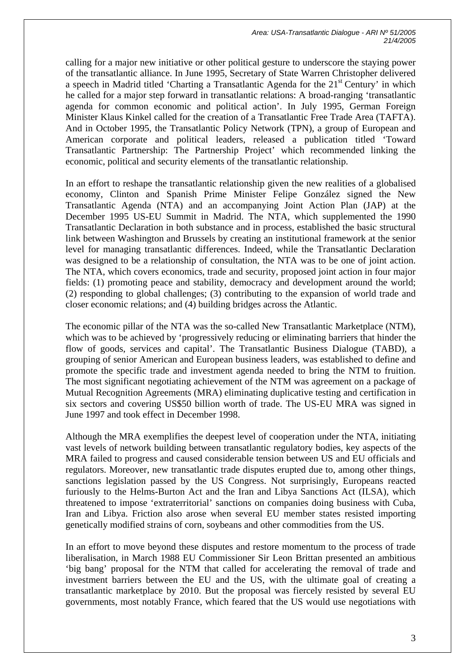calling for a major new initiative or other political gesture to underscore the staying power of the transatlantic alliance. In June 1995, Secretary of State Warren Christopher delivered a speech in Madrid titled 'Charting a Transatlantic Agenda for the  $21<sup>st</sup>$  Century' in which he called for a major step forward in transatlantic relations: A broad-ranging 'transatlantic agenda for common economic and political action'. In July 1995, German Foreign Minister Klaus Kinkel called for the creation of a Transatlantic Free Trade Area (TAFTA). And in October 1995, the Transatlantic Policy Network (TPN), a group of European and American corporate and political leaders, released a publication titled 'Toward Transatlantic Partnership: The Partnership Project' which recommended linking the economic, political and security elements of the transatlantic relationship.

In an effort to reshape the transatlantic relationship given the new realities of a globalised economy, Clinton and Spanish Prime Minister Felipe González signed the New Transatlantic Agenda (NTA) and an accompanying Joint Action Plan (JAP) at the December 1995 US-EU Summit in Madrid. The NTA, which supplemented the 1990 Transatlantic Declaration in both substance and in process, established the basic structural link between Washington and Brussels by creating an institutional framework at the senior level for managing transatlantic differences. Indeed, while the Transatlantic Declaration was designed to be a relationship of consultation, the NTA was to be one of joint action. The NTA, which covers economics, trade and security, proposed joint action in four major fields: (1) promoting peace and stability, democracy and development around the world; (2) responding to global challenges; (3) contributing to the expansion of world trade and closer economic relations; and (4) building bridges across the Atlantic.

The economic pillar of the NTA was the so-called New Transatlantic Marketplace (NTM), which was to be achieved by 'progressively reducing or eliminating barriers that hinder the flow of goods, services and capital'. The Transatlantic Business Dialogue (TABD), a grouping of senior American and European business leaders, was established to define and promote the specific trade and investment agenda needed to bring the NTM to fruition. The most significant negotiating achievement of the NTM was agreement on a package of Mutual Recognition Agreements (MRA) eliminating duplicative testing and certification in six sectors and covering US\$50 billion worth of trade. The US-EU MRA was signed in June 1997 and took effect in December 1998.

Although the MRA exemplifies the deepest level of cooperation under the NTA, initiating vast levels of network building between transatlantic regulatory bodies, key aspects of the MRA failed to progress and caused considerable tension between US and EU officials and regulators. Moreover, new transatlantic trade disputes erupted due to, among other things, sanctions legislation passed by the US Congress. Not surprisingly, Europeans reacted furiously to the Helms-Burton Act and the Iran and Libya Sanctions Act (ILSA), which threatened to impose 'extraterritorial' sanctions on companies doing business with Cuba, Iran and Libya. Friction also arose when several EU member states resisted importing genetically modified strains of corn, soybeans and other commodities from the US.

In an effort to move beyond these disputes and restore momentum to the process of trade liberalisation, in March 1988 EU Commissioner Sir Leon Brittan presented an ambitious 'big bang' proposal for the NTM that called for accelerating the removal of trade and investment barriers between the EU and the US, with the ultimate goal of creating a transatlantic marketplace by 2010. But the proposal was fiercely resisted by several EU governments, most notably France, which feared that the US would use negotiations with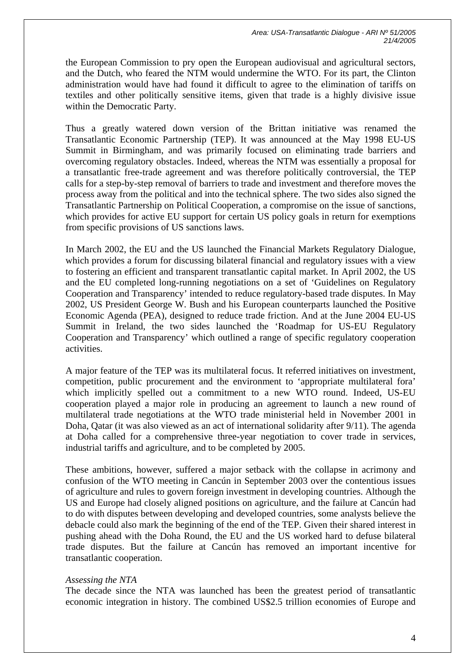the European Commission to pry open the European audiovisual and agricultural sectors, and the Dutch, who feared the NTM would undermine the WTO. For its part, the Clinton administration would have had found it difficult to agree to the elimination of tariffs on textiles and other politically sensitive items, given that trade is a highly divisive issue within the Democratic Party.

Thus a greatly watered down version of the Brittan initiative was renamed the Transatlantic Economic Partnership (TEP). It was announced at the May 1998 EU-US Summit in Birmingham, and was primarily focused on eliminating trade barriers and overcoming regulatory obstacles. Indeed, whereas the NTM was essentially a proposal for a transatlantic free-trade agreement and was therefore politically controversial, the TEP calls for a step-by-step removal of barriers to trade and investment and therefore moves the process away from the political and into the technical sphere. The two sides also signed the Transatlantic Partnership on Political Cooperation, a compromise on the issue of sanctions, which provides for active EU support for certain US policy goals in return for exemptions from specific provisions of US sanctions laws.

In March 2002, the EU and the US launched the Financial Markets Regulatory Dialogue, which provides a forum for discussing bilateral financial and regulatory issues with a view to fostering an efficient and transparent transatlantic capital market. In April 2002, the US and the EU completed long-running negotiations on a set of 'Guidelines on Regulatory Cooperation and Transparency' intended to reduce regulatory-based trade disputes. In May 2002, US President George W. Bush and his European counterparts launched the Positive Economic Agenda (PEA), designed to reduce trade friction. And at the June 2004 EU-US Summit in Ireland, the two sides launched the 'Roadmap for US-EU Regulatory Cooperation and Transparency' which outlined a range of specific regulatory cooperation activities.

A major feature of the TEP was its multilateral focus. It referred initiatives on investment, competition, public procurement and the environment to 'appropriate multilateral fora' which implicitly spelled out a commitment to a new WTO round. Indeed, US-EU cooperation played a major role in producing an agreement to launch a new round of multilateral trade negotiations at the WTO trade ministerial held in November 2001 in Doha, Qatar (it was also viewed as an act of international solidarity after 9/11). The agenda at Doha called for a comprehensive three-year negotiation to cover trade in services, industrial tariffs and agriculture, and to be completed by 2005.

These ambitions, however, suffered a major setback with the collapse in acrimony and confusion of the WTO meeting in Cancún in September 2003 over the contentious issues of agriculture and rules to govern foreign investment in developing countries. Although the US and Europe had closely aligned positions on agriculture, and the failure at Cancún had to do with disputes between developing and developed countries, some analysts believe the debacle could also mark the beginning of the end of the TEP. Given their shared interest in pushing ahead with the Doha Round, the EU and the US worked hard to defuse bilateral trade disputes. But the failure at Cancún has removed an important incentive for transatlantic cooperation.

## *Assessing the NTA*

The decade since the NTA was launched has been the greatest period of transatlantic economic integration in history. The combined US\$2.5 trillion economies of Europe and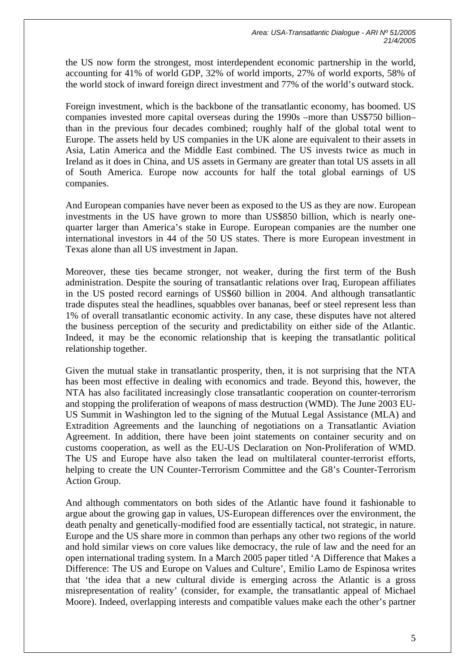the US now form the strongest, most interdependent economic partnership in the world, accounting for 41% of world GDP, 32% of world imports, 27% of world exports, 58% of the world stock of inward foreign direct investment and 77% of the world's outward stock.

Foreign investment, which is the backbone of the transatlantic economy, has boomed. US companies invested more capital overseas during the 1990s –more than US\$750 billion– than in the previous four decades combined; roughly half of the global total went to Europe. The assets held by US companies in the UK alone are equivalent to their assets in Asia, Latin America and the Middle East combined. The US invests twice as much in Ireland as it does in China, and US assets in Germany are greater than total US assets in all of South America. Europe now accounts for half the total global earnings of US companies.

And European companies have never been as exposed to the US as they are now. European investments in the US have grown to more than US\$850 billion, which is nearly onequarter larger than America's stake in Europe. European companies are the number one international investors in 44 of the 50 US states. There is more European investment in Texas alone than all US investment in Japan.

Moreover, these ties became stronger, not weaker, during the first term of the Bush administration. Despite the souring of transatlantic relations over Iraq, European affiliates in the US posted record earnings of US\$60 billion in 2004. And although transatlantic trade disputes steal the headlines, squabbles over bananas, beef or steel represent less than 1% of overall transatlantic economic activity. In any case, these disputes have not altered the business perception of the security and predictability on either side of the Atlantic. Indeed, it may be the economic relationship that is keeping the transatlantic political relationship together.

Given the mutual stake in transatlantic prosperity, then, it is not surprising that the NTA has been most effective in dealing with economics and trade. Beyond this, however, the NTA has also facilitated increasingly close transatlantic cooperation on counter-terrorism and stopping the proliferation of weapons of mass destruction (WMD). The June 2003 EU-US Summit in Washington led to the signing of the Mutual Legal Assistance (MLA) and Extradition Agreements and the launching of negotiations on a Transatlantic Aviation Agreement. In addition, there have been joint statements on container security and on customs cooperation, as well as the EU-US Declaration on Non-Proliferation of WMD. The US and Europe have also taken the lead on multilateral counter-terrorist efforts, helping to create the UN Counter-Terrorism Committee and the G8's Counter-Terrorism Action Group.

And although commentators on both sides of the Atlantic have found it fashionable to argue about the growing gap in values, US-European differences over the environment, the death penalty and genetically-modified food are essentially tactical, not strategic, in nature. Europe and the US share more in common than perhaps any other two regions of the world and hold similar views on core values like democracy, the rule of law and the need for an open international trading system. In a March 2005 paper titled 'A Difference that Makes a Difference: The US and Europe on Values and Culture', Emilio Lamo de Espinosa writes that 'the idea that a new cultural divide is emerging across the Atlantic is a gross misrepresentation of reality' (consider, for example, the transatlantic appeal of Michael Moore). Indeed, overlapping interests and compatible values make each the other's partner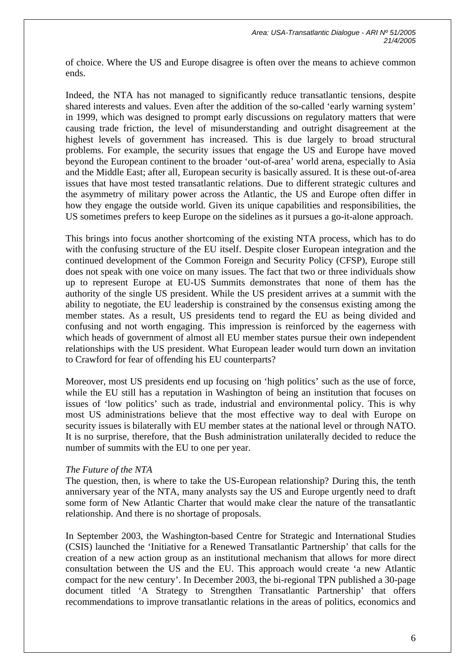of choice. Where the US and Europe disagree is often over the means to achieve common ends.

Indeed, the NTA has not managed to significantly reduce transatlantic tensions, despite shared interests and values. Even after the addition of the so-called 'early warning system' in 1999, which was designed to prompt early discussions on regulatory matters that were causing trade friction, the level of misunderstanding and outright disagreement at the highest levels of government has increased. This is due largely to broad structural problems. For example, the security issues that engage the US and Europe have moved beyond the European continent to the broader 'out-of-area' world arena, especially to Asia and the Middle East; after all, European security is basically assured. It is these out-of-area issues that have most tested transatlantic relations. Due to different strategic cultures and the asymmetry of military power across the Atlantic, the US and Europe often differ in how they engage the outside world. Given its unique capabilities and responsibilities, the US sometimes prefers to keep Europe on the sidelines as it pursues a go-it-alone approach.

This brings into focus another shortcoming of the existing NTA process, which has to do with the confusing structure of the EU itself. Despite closer European integration and the continued development of the Common Foreign and Security Policy (CFSP), Europe still does not speak with one voice on many issues. The fact that two or three individuals show up to represent Europe at EU-US Summits demonstrates that none of them has the authority of the single US president. While the US president arrives at a summit with the ability to negotiate, the EU leadership is constrained by the consensus existing among the member states. As a result, US presidents tend to regard the EU as being divided and confusing and not worth engaging. This impression is reinforced by the eagerness with which heads of government of almost all EU member states pursue their own independent relationships with the US president. What European leader would turn down an invitation to Crawford for fear of offending his EU counterparts?

Moreover, most US presidents end up focusing on 'high politics' such as the use of force, while the EU still has a reputation in Washington of being an institution that focuses on issues of 'low politics' such as trade, industrial and environmental policy. This is why most US administrations believe that the most effective way to deal with Europe on security issues is bilaterally with EU member states at the national level or through NATO. It is no surprise, therefore, that the Bush administration unilaterally decided to reduce the number of summits with the EU to one per year.

## *The Future of the NTA*

The question, then, is where to take the US-European relationship? During this, the tenth anniversary year of the NTA, many analysts say the US and Europe urgently need to draft some form of New Atlantic Charter that would make clear the nature of the transatlantic relationship. And there is no shortage of proposals.

In September 2003, the Washington-based Centre for Strategic and International Studies (CSIS) launched the 'Initiative for a Renewed Transatlantic Partnership' that calls for the creation of a new action group as an institutional mechanism that allows for more direct consultation between the US and the EU. This approach would create 'a new Atlantic compact for the new century'. In December 2003, the bi-regional TPN published a 30-page document titled 'A Strategy to Strengthen Transatlantic Partnership' that offers recommendations to improve transatlantic relations in the areas of politics, economics and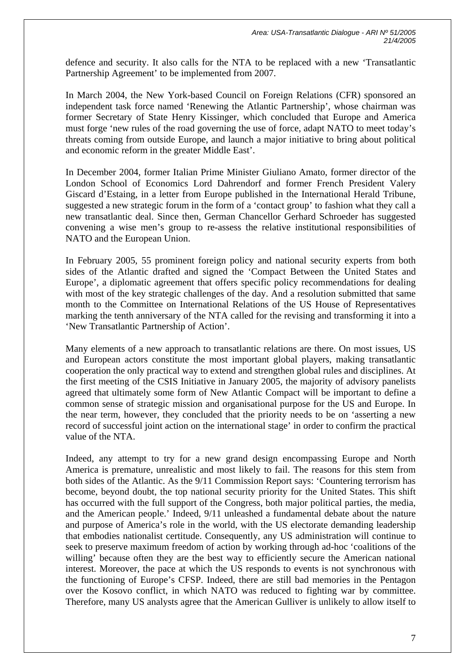defence and security. It also calls for the NTA to be replaced with a new 'Transatlantic Partnership Agreement' to be implemented from 2007.

In March 2004, the New York-based Council on Foreign Relations (CFR) sponsored an independent task force named 'Renewing the Atlantic Partnership', whose chairman was former Secretary of State Henry Kissinger, which concluded that Europe and America must forge 'new rules of the road governing the use of force, adapt NATO to meet today's threats coming from outside Europe, and launch a major initiative to bring about political and economic reform in the greater Middle East'.

In December 2004, former Italian Prime Minister Giuliano Amato, former director of the London School of Economics Lord Dahrendorf and former French President Valery Giscard d'Estaing, in a letter from Europe published in the International Herald Tribune, suggested a new strategic forum in the form of a 'contact group' to fashion what they call a new transatlantic deal. Since then, German Chancellor Gerhard Schroeder has suggested convening a wise men's group to re-assess the relative institutional responsibilities of NATO and the European Union.

In February 2005, 55 prominent foreign policy and national security experts from both sides of the Atlantic drafted and signed the 'Compact Between the United States and Europe', a diplomatic agreement that offers specific policy recommendations for dealing with most of the key strategic challenges of the day. And a resolution submitted that same month to the Committee on International Relations of the US House of Representatives marking the tenth anniversary of the NTA called for the revising and transforming it into a 'New Transatlantic Partnership of Action'.

Many elements of a new approach to transatlantic relations are there. On most issues, US and European actors constitute the most important global players, making transatlantic cooperation the only practical way to extend and strengthen global rules and disciplines. At the first meeting of the CSIS Initiative in January 2005, the majority of advisory panelists agreed that ultimately some form of New Atlantic Compact will be important to define a common sense of strategic mission and organisational purpose for the US and Europe. In the near term, however, they concluded that the priority needs to be on 'asserting a new record of successful joint action on the international stage' in order to confirm the practical value of the NTA.

Indeed, any attempt to try for a new grand design encompassing Europe and North America is premature, unrealistic and most likely to fail. The reasons for this stem from both sides of the Atlantic. As the 9/11 Commission Report says: 'Countering terrorism has become, beyond doubt, the top national security priority for the United States. This shift has occurred with the full support of the Congress, both major political parties, the media, and the American people.' Indeed, 9/11 unleashed a fundamental debate about the nature and purpose of America's role in the world, with the US electorate demanding leadership that embodies nationalist certitude. Consequently, any US administration will continue to seek to preserve maximum freedom of action by working through ad-hoc 'coalitions of the willing' because often they are the best way to efficiently secure the American national interest. Moreover, the pace at which the US responds to events is not synchronous with the functioning of Europe's CFSP. Indeed, there are still bad memories in the Pentagon over the Kosovo conflict, in which NATO was reduced to fighting war by committee. Therefore, many US analysts agree that the American Gulliver is unlikely to allow itself to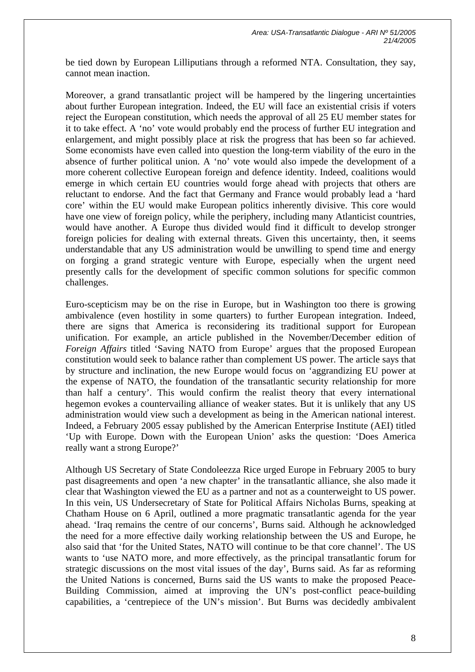be tied down by European Lilliputians through a reformed NTA. Consultation, they say, cannot mean inaction.

Moreover, a grand transatlantic project will be hampered by the lingering uncertainties about further European integration. Indeed, the EU will face an existential crisis if voters reject the European constitution, which needs the approval of all 25 EU member states for it to take effect. A 'no' vote would probably end the process of further EU integration and enlargement, and might possibly place at risk the progress that has been so far achieved. Some economists have even called into question the long-term viability of the euro in the absence of further political union. A 'no' vote would also impede the development of a more coherent collective European foreign and defence identity. Indeed, coalitions would emerge in which certain EU countries would forge ahead with projects that others are reluctant to endorse. And the fact that Germany and France would probably lead a 'hard core' within the EU would make European politics inherently divisive. This core would have one view of foreign policy, while the periphery, including many Atlanticist countries, would have another. A Europe thus divided would find it difficult to develop stronger foreign policies for dealing with external threats. Given this uncertainty, then, it seems understandable that any US administration would be unwilling to spend time and energy on forging a grand strategic venture with Europe, especially when the urgent need presently calls for the development of specific common solutions for specific common challenges.

Euro-scepticism may be on the rise in Europe, but in Washington too there is growing ambivalence (even hostility in some quarters) to further European integration. Indeed, there are signs that America is reconsidering its traditional support for European unification. For example, an article published in the November/December edition of *Foreign Affairs* titled 'Saving NATO from Europe' argues that the proposed European constitution would seek to balance rather than complement US power. The article says that by structure and inclination, the new Europe would focus on 'aggrandizing EU power at the expense of NATO, the foundation of the transatlantic security relationship for more than half a century'. This would confirm the realist theory that every international hegemon evokes a countervailing alliance of weaker states. But it is unlikely that any US administration would view such a development as being in the American national interest. Indeed, a February 2005 essay published by the American Enterprise Institute (AEI) titled 'Up with Europe. Down with the European Union' asks the question: 'Does America really want a strong Europe?'

Although US Secretary of State Condoleezza Rice urged Europe in February 2005 to bury past disagreements and open 'a new chapter' in the transatlantic alliance, she also made it clear that Washington viewed the EU as a partner and not as a counterweight to US power. In this vein, US Undersecretary of State for Political Affairs Nicholas Burns, speaking at Chatham House on 6 April, outlined a more pragmatic transatlantic agenda for the year ahead. 'Iraq remains the centre of our concerns', Burns said. Although he acknowledged the need for a more effective daily working relationship between the US and Europe, he also said that 'for the United States, NATO will continue to be that core channel'. The US wants to 'use NATO more, and more effectively, as the principal transatlantic forum for strategic discussions on the most vital issues of the day', Burns said. As far as reforming the United Nations is concerned, Burns said the US wants to make the proposed Peace-Building Commission, aimed at improving the UN's post-conflict peace-building capabilities, a 'centrepiece of the UN's mission'. But Burns was decidedly ambivalent